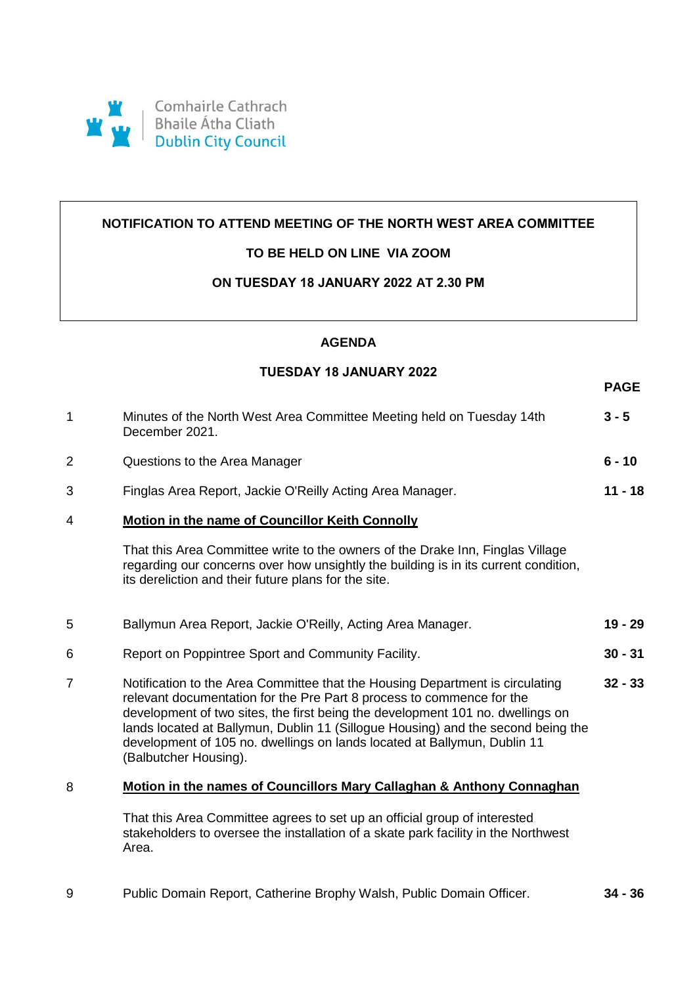

# **NOTIFICATION TO ATTEND MEETING OF THE NORTH WEST AREA COMMITTEE**

## **TO BE HELD ON LINE VIA ZOOM**

## **ON TUESDAY 18 JANUARY 2022 AT 2.30 PM**

#### **AGENDA**

### **TUESDAY 18 JANUARY 2022**

**PAGE**

| 1              | Minutes of the North West Area Committee Meeting held on Tuesday 14th<br>December 2021.                                                                                                                                                                                                                                                                                                                                           | $3 - 5$   |
|----------------|-----------------------------------------------------------------------------------------------------------------------------------------------------------------------------------------------------------------------------------------------------------------------------------------------------------------------------------------------------------------------------------------------------------------------------------|-----------|
| $\overline{2}$ | Questions to the Area Manager                                                                                                                                                                                                                                                                                                                                                                                                     | $6 - 10$  |
| 3              | Finglas Area Report, Jackie O'Reilly Acting Area Manager.                                                                                                                                                                                                                                                                                                                                                                         | $11 - 18$ |
| 4              | <b>Motion in the name of Councillor Keith Connolly</b>                                                                                                                                                                                                                                                                                                                                                                            |           |
|                | That this Area Committee write to the owners of the Drake Inn, Finglas Village<br>regarding our concerns over how unsightly the building is in its current condition,<br>its dereliction and their future plans for the site.                                                                                                                                                                                                     |           |
| 5              | Ballymun Area Report, Jackie O'Reilly, Acting Area Manager.                                                                                                                                                                                                                                                                                                                                                                       | $19 - 29$ |
| 6              | Report on Poppintree Sport and Community Facility.                                                                                                                                                                                                                                                                                                                                                                                | $30 - 31$ |
| $\overline{7}$ | Notification to the Area Committee that the Housing Department is circulating<br>relevant documentation for the Pre Part 8 process to commence for the<br>development of two sites, the first being the development 101 no. dwellings on<br>lands located at Ballymun, Dublin 11 (Sillogue Housing) and the second being the<br>development of 105 no. dwellings on lands located at Ballymun, Dublin 11<br>(Balbutcher Housing). | $32 - 33$ |
| 8              | Motion in the names of Councillors Mary Callaghan & Anthony Connaghan                                                                                                                                                                                                                                                                                                                                                             |           |
|                | That this Area Committee agrees to set up an official group of interested<br>stakeholders to oversee the installation of a skate park facility in the Northwest<br>Area.                                                                                                                                                                                                                                                          |           |

9 Public Domain Report, Catherine Brophy Walsh, Public Domain Officer. **34 - 36**